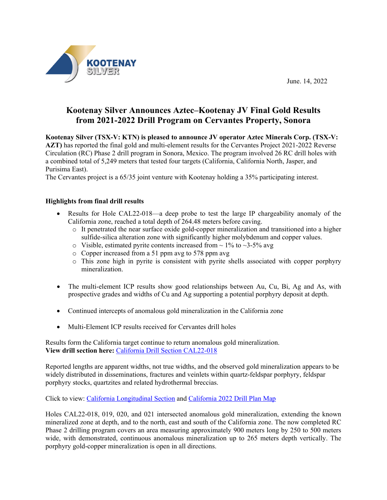June. 14, 2022



# **Kootenay Silver Announces Aztec–Kootenay JV Final Gold Results from 2021-2022 Drill Program on Cervantes Property, Sonora**

**Kootenay Silver (TSX-V: KTN) is pleased to announce JV operator Aztec Minerals Corp. (TSX-V: AZT)** has reported the final gold and multi-element results for the Cervantes Project 2021-2022 Reverse Circulation (RC) Phase 2 drill program in Sonora, Mexico. The program involved 26 RC drill holes with a combined total of 5,249 meters that tested four targets (California, California North, Jasper, and Purisima East).

The Cervantes project is a 65/35 joint venture with Kootenay holding a 35% participating interest.

# **Highlights from final drill results**

- Results for Hole CAL22-018—a deep probe to test the large IP chargeability anomaly of the California zone, reached a total depth of 264.48 meters before caving.
	- o It penetrated the near surface oxide gold-copper mineralization and transitioned into a higher sulfide-silica alteration zone with significantly higher molybdenum and copper values.
	- $\circ$  Visible, estimated pyrite contents increased from  $\sim$  1% to  $\sim$ 3-5% avg
	- o Copper increased from a 51 ppm avg to 578 ppm avg
	- o This zone high in pyrite is consistent with pyrite shells associated with copper porphyry mineralization.
- The multi-element ICP results show good relationships between Au, Cu, Bi, Ag and As, with prospective grades and widths of Cu and Ag supporting a potential porphyry deposit at depth.
- Continued intercepts of anomalous gold mineralization in the California zone
- Multi-Element ICP results received for Cervantes drill holes

Results form the California target continue to return anomalous gold mineralization. **View drill section here:** [California Drill Section CAL22-018](https://www.kootenaysilver.com/assets/img/nr/Cervantes-Jun-14-2022/Cervantes_Drill_Sectopn_CAL22-018.pdf)

Reported lengths are apparent widths, not true widths, and the observed gold mineralization appears to be widely distributed in disseminations, fractures and veinlets within quartz-feldspar porphyry, feldspar porphyry stocks, quartzites and related hydrothermal breccias.

Click to view: [California Longitudinal Section](https://www.kootenaysilver.com/assets/img/nr/Cervantes-Jun-14-2022/Cervantes_22_long_sect.pdf) and [California 2022 Drill Plan Map](https://www.kootenaysilver.com/assets/img/nr/Cervantes-Jun-14-2022/CERVANTES_DRILL_MAP_JUNE_2022.pdf)

Holes CAL22-018, 019, 020, and 021 intersected anomalous gold mineralization, extending the known mineralized zone at depth, and to the north, east and south of the California zone. The now completed RC Phase 2 drilling program covers an area measuring approximately 900 meters long by 250 to 500 meters wide, with demonstrated, continuous anomalous mineralization up to 265 meters depth vertically. The porphyry gold-copper mineralization is open in all directions.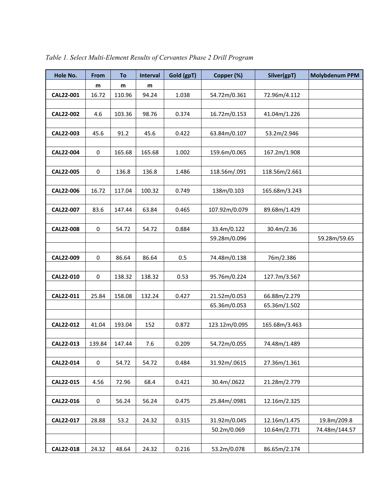| Hole No.  | From        | To     | Interval | Gold (gpT) | Copper (%)    | Silver(gpT)   | <b>Molybdenum PPM</b> |
|-----------|-------------|--------|----------|------------|---------------|---------------|-----------------------|
|           | m           | m      | m        |            |               |               |                       |
| CAL22-001 | 16.72       | 110.96 | 94.24    | 1.038      | 54.72m/0.361  | 72.96m/4.112  |                       |
|           |             |        |          |            |               |               |                       |
| CAL22-002 | 4.6         | 103.36 | 98.76    | 0.374      | 16.72m/0.153  | 41.04m/1.226  |                       |
|           |             |        |          |            |               |               |                       |
| CAL22-003 | 45.6        | 91.2   | 45.6     | 0.422      | 63.84m/0.107  | 53.2m/2.946   |                       |
|           |             |        |          |            |               |               |                       |
| CAL22-004 | $\pmb{0}$   | 165.68 | 165.68   | 1.002      | 159.6m/0.065  | 167.2m/1.908  |                       |
|           |             |        |          |            |               |               |                       |
| CAL22-005 | $\pmb{0}$   | 136.8  | 136.8    | 1.486      | 118.56m/.091  | 118.56m/2.661 |                       |
|           |             |        |          |            |               |               |                       |
| CAL22-006 | 16.72       | 117.04 | 100.32   | 0.749      | 138m/0.103    | 165.68m/3.243 |                       |
|           |             |        |          |            |               |               |                       |
| CAL22-007 | 83.6        | 147.44 | 63.84    | 0.465      | 107.92m/0.079 | 89.68m/1.429  |                       |
|           |             |        |          |            |               |               |                       |
| CAL22-008 | $\pmb{0}$   | 54.72  | 54.72    | 0.884      | 33.4m/0.122   | 30.4m/2.36    |                       |
|           |             |        |          |            | 59.28m/0.096  |               | 59.28m/59.65          |
|           |             |        |          |            |               |               |                       |
| CAL22-009 | $\pmb{0}$   | 86.64  | 86.64    | 0.5        | 74.48m/0.138  | 76m/2.386     |                       |
|           |             |        |          |            |               |               |                       |
| CAL22-010 | $\mathsf 0$ | 138.32 | 138.32   | 0.53       | 95.76m/0.224  | 127.7m/3.567  |                       |
|           |             |        |          |            |               |               |                       |
| CAL22-011 | 25.84       | 158.08 | 132.24   | 0.427      | 21.52m/0.053  | 66.88m/2.279  |                       |
|           |             |        |          |            | 65.36m/0.053  | 65.36m/1.502  |                       |
|           |             |        |          |            |               |               |                       |
| CAL22-012 | 41.04       | 193.04 | 152      | 0.872      | 123.12m/0.095 | 165.68m/3.463 |                       |
|           |             |        |          |            |               |               |                       |
| CAL22-013 | 139.84      | 147.44 | 7.6      | 0.209      | 54.72m/0.055  | 74.48m/1.489  |                       |
|           |             |        |          |            |               |               |                       |
| CAL22-014 | 0           | 54.72  | 54.72    | 0.484      | 31.92m/.0615  | 27.36m/1.361  |                       |
|           |             |        |          |            |               |               |                       |
| CAL22-015 | 4.56        | 72.96  | 68.4     | 0.421      | 30.4m/.0622   | 21.28m/2.779  |                       |
|           |             |        |          |            |               |               |                       |
| CAL22-016 | $\pmb{0}$   | 56.24  | 56.24    | 0.475      | 25.84m/.0981  | 12.16m/2.325  |                       |
|           |             |        |          |            |               |               |                       |
| CAL22-017 | 28.88       | 53.2   | 24.32    | 0.315      | 31.92m/0.045  | 12.16m/1.475  | 19.8m/209.8           |
|           |             |        |          |            | 50.2m/0.069   | 10.64m/2.771  | 74.48m/144.57         |
|           |             |        |          |            |               |               |                       |
| CAL22-018 | 24.32       | 48.64  | 24.32    | 0.216      | 53.2m/0.078   | 86.65m/2.174  |                       |

*Table 1. Select Multi-Element Results of Cervantes Phase 2 Drill Program*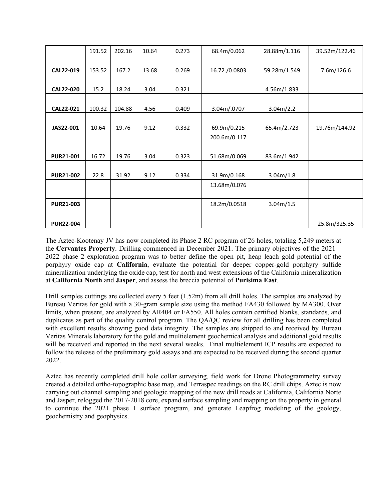|                  | 191.52 | 202.16 | 10.64 | 0.273 | 68.4m/0.062   | 28.88m/1.116 | 39.52m/122.46 |
|------------------|--------|--------|-------|-------|---------------|--------------|---------------|
|                  |        |        |       |       |               |              |               |
| CAL22-019        | 153.52 | 167.2  | 13.68 | 0.269 | 16.72./0.0803 | 59.28m/1.549 | 7.6m/126.6    |
|                  |        |        |       |       |               |              |               |
| CAL22-020        | 15.2   | 18.24  | 3.04  | 0.321 |               | 4.56m/1.833  |               |
|                  |        |        |       |       |               |              |               |
| CAL22-021        | 100.32 | 104.88 | 4.56  | 0.409 | 3.04m/.0707   | 3.04m/2.2    |               |
|                  |        |        |       |       |               |              |               |
| JAS22-001        | 10.64  | 19.76  | 9.12  | 0.332 | 69.9m/0.215   | 65.4m/2.723  | 19.76m/144.92 |
|                  |        |        |       |       | 200.6m/0.117  |              |               |
|                  |        |        |       |       |               |              |               |
| <b>PUR21-001</b> | 16.72  | 19.76  | 3.04  | 0.323 | 51.68m/0.069  | 83.6m/1.942  |               |
|                  |        |        |       |       |               |              |               |
| <b>PUR21-002</b> | 22.8   | 31.92  | 9.12  | 0.334 | 31.9m/0.168   | 3.04m/1.8    |               |
|                  |        |        |       |       | 13.68m/0.076  |              |               |
|                  |        |        |       |       |               |              |               |
| <b>PUR21-003</b> |        |        |       |       | 18.2m/0.0518  | 3.04m/1.5    |               |
|                  |        |        |       |       |               |              |               |
| <b>PUR22-004</b> |        |        |       |       |               |              | 25.8m/325.35  |

The Aztec-Kootenay JV has now completed its Phase 2 RC program of 26 holes, totaling 5,249 meters at the **Cervantes Property**. Drilling commenced in December 2021. The primary objectives of the 2021 – 2022 phase 2 exploration program was to better define the open pit, heap leach gold potential of the porphyry oxide cap at **California**, evaluate the potential for deeper copper-gold porphyry sulfide mineralization underlying the oxide cap, test for north and west extensions of the California mineralization at **California North** and **Jasper**, and assess the breccia potential of **Purisima East**.

Drill samples cuttings are collected every 5 feet (1.52m) from all drill holes. The samples are analyzed by Bureau Veritas for gold with a 30-gram sample size using the method FA430 followed by MA300. Over limits, when present, are analyzed by AR404 or FA550. All holes contain certified blanks, standards, and duplicates as part of the quality control program. The QA/QC review for all drilling has been completed with excellent results showing good data integrity. The samples are shipped to and received by Bureau Veritas Minerals laboratory for the gold and multielement geochemical analysis and additional gold results will be received and reported in the next several weeks. Final multielement ICP results are expected to follow the release of the preliminary gold assays and are expected to be received during the second quarter 2022.

Aztec has recently completed drill hole collar surveying, field work for Drone Photogrammetry survey created a detailed ortho-topographic base map, and Terraspec readings on the RC drill chips. Aztec is now carrying out channel sampling and geologic mapping of the new drill roads at California, California Norte and Jasper, relogged the 2017-2018 core, expand surface sampling and mapping on the property in general to continue the 2021 phase 1 surface program, and generate Leapfrog modeling of the geology, geochemistry and geophysics.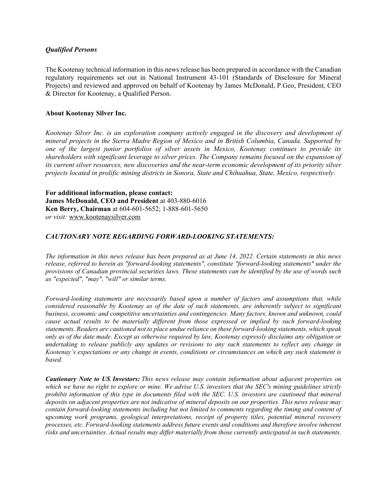## *Qualified Persons*

The Kootenay technical information in this news release has been prepared in accordance with the Canadian regulatory requirements set out in National Instrument 43-101 (Standards of Disclosure for Mineral Projects) and reviewed and approved on behalf of Kootenay by James McDonald, P.Geo, President, CEO & Director for Kootenay, a Qualified Person.

## **About Kootenay Silver Inc.**

*Kootenay Silver Inc. is an exploration company actively engaged in the discovery and development of mineral projects in the Sierra Madre Region of Mexico and in British Columbia, Canada. Supported by one of the largest junior portfolios of silver assets in Mexico, Kootenay continues to provide its shareholders with significant leverage to silver prices. The Company remains focused on the expansion of its current silver resources, new discoveries and the near-term economic development of its priority silver projects located in prolific mining districts in Sonora, State and Chihuahua, State, Mexico, respectively.*

**For additional information, please contact: James McDonald, CEO and President** at 403-880-6016 **Ken Berry, Chairman** at 604-601-5652; 1-888-601-5650 *or visit:* [www.kootenaysilver.com](http://www.kootenaysilver.com/)

## *CAUTIONARY NOTE REGARDING FORWARD-LOOKING STATEMENTS:*

*The information in this news release has been prepared as at June 14, 2022. Certain statements in this news release, referred to herein as "forward-looking statements", constitute "forward-looking statements" under the provisions of Canadian provincial securities laws. These statements can be identified by the use of words such as "expected", "may", "will" or similar terms.*

*Forward-looking statements are necessarily based upon a number of factors and assumptions that, while considered reasonable by Kootenay as of the date of such statements, are inherently subject to significant business, economic and competitive uncertainties and contingencies. Many factors, known and unknown, could cause actual results to be materially different from those expressed or implied by such forward-looking statements. Readers are cautioned not to place undue reliance on these forward-looking statements, which speak only as of the date made. Except as otherwise required by law, Kootenay expressly disclaims any obligation or undertaking to release publicly any updates or revisions to any such statements to reflect any change in Kootenay's expectations or any change in events, conditions or circumstances on which any such statement is based.*

*Cautionary Note to US Investors: This news release may contain information about adjacent properties on which we have no right to explore or mine. We advise U.S. investors that the SEC's mining guidelines strictly prohibit information of this type in documents filed with the SEC. U.S. investors are cautioned that mineral deposits on adjacent properties are not indicative of mineral deposits on our properties. This news release may contain forward-looking statements including but not limited to comments regarding the timing and content of upcoming work programs, geological interpretations, receipt of property titles, potential mineral recovery processes, etc. Forward-looking statements address future events and conditions and therefore involve inherent risks and uncertainties. Actual results may differ materially from those currently anticipated in such statements.*